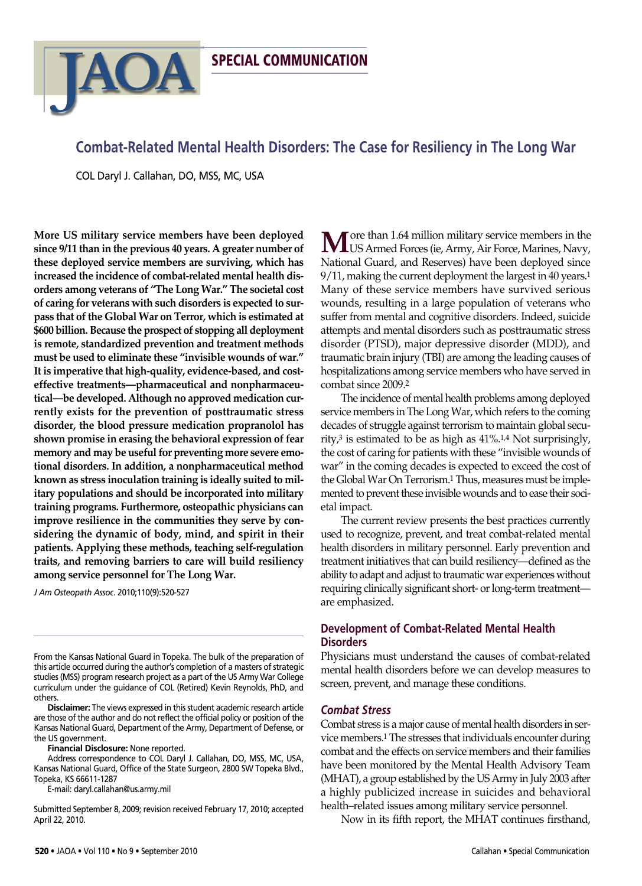# **Combat-Related Mental Health Disorders: The Case for Resiliency in The Long War**

COL Daryl J. Callahan, DO, MSS, MC, USA

**JAOA** 

**More US military service members have been deployed since 9/11 than in the previous 40 years. A greater number of these deployed service members are surviving, which has increased the incidence of combat-related mental health disorders among veterans of "The Long War." The societal cost of caring for veterans with such disorders is expected to surpass that ofthe Global War on Terror, which is estimated at \$600 billion. Because the prospect of stopping all deployment is remote, standardized prevention and treatment methods must be used to eliminate these "invisible wounds of war." It is imperative that high-quality, evidence-based, and costeffective treatments—pharmaceutical and nonpharmaceutical—be developed. Although no approved medication currently exists for the prevention of posttraumatic stress disorder, the blood pressure medication propranolol has shown promise in erasing the behavioral expression offear memory and may be usefulfor preventing more severe emotional disorders. In addition, a nonpharmaceutical method known as stress inoculation training is ideally suited to military populations and should be incorporated into military training programs. Furthermore, osteopathic physicians can improve resilience in the communities they serve by considering the dynamic of body, mind, and spirit in their patients. Applying these methods, teaching self-regulation traits, and removing barriers to care will build resiliency among service personnel for The Long War.**

*J Am Osteopath Assoc*. 2010;110(9):520-527

From the Kansas National Guard in Topeka. The bulk of the preparation of this article occurred during the author's completion of a masters of strategic studies (MSS) program research project as a part of the US Army War College curriculum under the guidance of COL (Retired) Kevin Reynolds, PhD, and others.

**Disclaimer:** The views expressed in this student academic research article are those of the author and do not reflect the official policy or position of the Kansas National Guard, Department of the Army, Department of Defense, or the US government.

**Financial Disclosure:** None reported.

Address correspondence to COL Daryl J. Callahan, DO, MSS, MC, USA, Kansas National Guard, Office of the State Surgeon, 2800 SW Topeka Blvd., Topeka, KS 66611-1287

E-mail: daryl.callahan@us.army.mil

Submitted September 8, 2009; revision received February 17, 2010; accepted April 22, 2010.

**M** ore than 1.64 million military service members in the US Armed Forces (ie, Army, Air Force, Marines, Navy, National Guard, and Reserves) have been deployed since 9/11, making the current deployment the largest in 40 years.<sup>1</sup> Many of these service members have survived serious wounds, resulting in a large population of veterans who suffer from mental and cognitive disorders. Indeed, suicide attempts and mental disorders such as posttraumatic stress disorder (PTSD), major depressive disorder (MDD), and traumatic brain injury (TBI) are among the leading causes of hospitalizations among service members who have served in combat since 2009.2

The incidence of mental health problems among deployed service members in The Long War, which refers to the coming decades of struggle against terrorism to maintain global security, $3$  is estimated to be as high as  $41\%$ .<sup>1,4</sup> Not surprisingly, the cost of caring for patients with these "invisible wounds of war" in the coming decades is expected to exceed the cost of the Global War On Terrorism.<sup>1</sup> Thus, measures must be implemented to prevent these invisible wounds and to ease their societal impact.

The current review presents the best practices currently used to recognize, prevent, and treat combat-related mental health disorders in military personnel. Early prevention and treatment initiatives that can build resiliency—defined as the ability to adapt and adjust to traumatic war experiences without requiring clinically significant short- or long-term treatmentare emphasized.

## **Development of Combat-Related Mental Health Disorders**

Physicians must understand the causes of combat-related mental health disorders before we can develop measures to screen, prevent, and manage these conditions.

### *Combat Stress*

Combat stress is a major cause of mental health disorders in service members.1 The stresses that individuals encounter during combat and the effects on service members and their families have been monitored by the Mental Health Advisory Team (MHAT), a group established by the US Army in July 2003 after a highly publicized increase in suicides and behavioral health–related issues among military service personnel.

Now in its fifth report, the MHAT continues firsthand,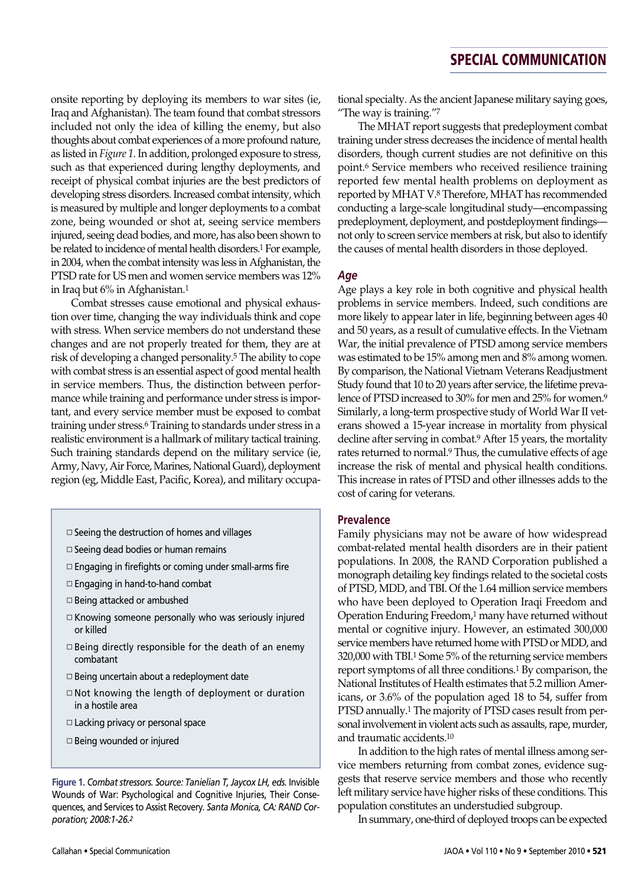onsite reporting by deploying its members to war sites (ie, Iraq and Afghanistan). The team found that combat stressors included not only the idea of killing the enemy, but also thoughts about combat experiences of a more profound nature, as listed in *Figure 1*. In addition, prolonged exposure to stress, such as that experienced during lengthy deployments, and receipt of physical combat injuries are the best predictors of developing stress disorders. Increased combat intensity, which is measured by multiple and longer deployments to a combat zone, being wounded or shot at, seeing service members injured, seeing dead bodies, and more, has also been shown to be related to incidence of mental health disorders.1 For example, in 2004, when the combat intensity was less in Afghanistan, the PTSD rate for US men and women service members was 12% in Iraq but 6% in Afghanistan.1

Combat stresses cause emotional and physical exhaustion over time, changing the way individuals think and cope with stress. When service members do not understand these changes and are not properly treated for them, they are at risk of developing a changed personality.5 The ability to cope with combat stress is an essential aspect of good mental health in service members. Thus, the distinction between performance while training and performance under stress is important, and every service member must be exposed to combat training under stress.6 Training to standards under stress in a realistic environment is a hallmark of military tactical training. Such training standards depend on the military service (ie, Army, Navy, Air Force, Marines, National Guard), deployment region (eg, Middle East, Pacific, Korea), and military occupa-

- $\square$  Seeing the destruction of homes and villages
- □ Seeing dead bodies or human remains
- ◽ Engaging in firefights or coming under small-arms fire
- ◽ Engaging in hand-to-hand combat
- ◽ Being attacked or ambushed
- ◽ Knowing someone personally who was seriously injured or killed
- $\Box$  Being directly responsible for the death of an enemy combatant
- □ Being uncertain about a redeployment date
- ◽ Not knowing the length of deployment or duration in a hostile area
- ◽ Lacking privacy or personal space
- ◽ Being wounded or injured

**Figure 1.** *Combat stressors. Source: Tanielian T, Jaycox LH, eds.* Invisible Wounds of War: Psychological and Cognitive Injuries, Their Consequences, and Services to Assist Recovery*. Santa Monica, CA: RAND Corporation; 2008:1-26.2*

tional specialty. As the ancient Japanese military saying goes, "The way is training."7

The MHAT report suggests that predeployment combat training under stress decreases the incidence of mental health disorders, though current studies are not definitive on this point.6 Service members who received resilience training reported few mental health problems on deployment as reported by MHAT V.8 Therefore, MHAT has recommended conducting a large-scale longitudinal study—encompassing predeployment, deployment, and postdeployment findings not only to screen service members at risk, but also to identify the causes of mental health disorders in those deployed.

### *Age*

Age plays a key role in both cognitive and physical health problems in service members. Indeed, such conditions are more likely to appear later in life, beginning between ages 40 and 50 years, as a result of cumulative effects. In the Vietnam War, the initial prevalence of PTSD among service members was estimated to be 15% among men and 8% among women. By comparison, the National Vietnam Veterans Readjustment Study found that 10 to 20 years after service, the lifetime prevalence of PTSD increased to 30% for men and 25% for women.9 Similarly, a long-term prospective study of World War II veterans showed a 15-year increase in mortality from physical decline after serving in combat.9 After 15 years, the mortality rates returned to normal.9 Thus, the cumulative effects of age increase the risk of mental and physical health conditions. This increase in rates of PTSD and other illnesses adds to the cost of caring for veterans.

#### **Prevalence**

Family physicians may not be aware of how widespread combat-related mental health disorders are in their patient populations. In 2008, the RAND Corporation published a monograph detailing key findings related to the societal costs of PTSD, MDD, and TBI. Of the 1.64 million service members who have been deployed to Operation Iraqi Freedom and Operation Enduring Freedom,1 many have returned without mental or cognitive injury. However, an estimated 300,000 service members have returned home with PTSD or MDD, and 320,000 with TBI.1 Some 5% of the returning service members report symptoms of all three conditions.1 By comparison, the National Institutes of Health estimates that 5.2 million Americans, or 3.6% of the population aged 18 to 54, suffer from PTSD annually.1 The majority of PTSD cases result from personal involvement in violent acts such as assaults, rape, murder, and traumatic accidents.10

In addition to the high rates of mental illness among service members returning from combat zones, evidence suggests that reserve service members and those who recently left military service have higher risks of these conditions. This population constitutes an understudied subgroup.

In summary, one-third of deployed troops can be expected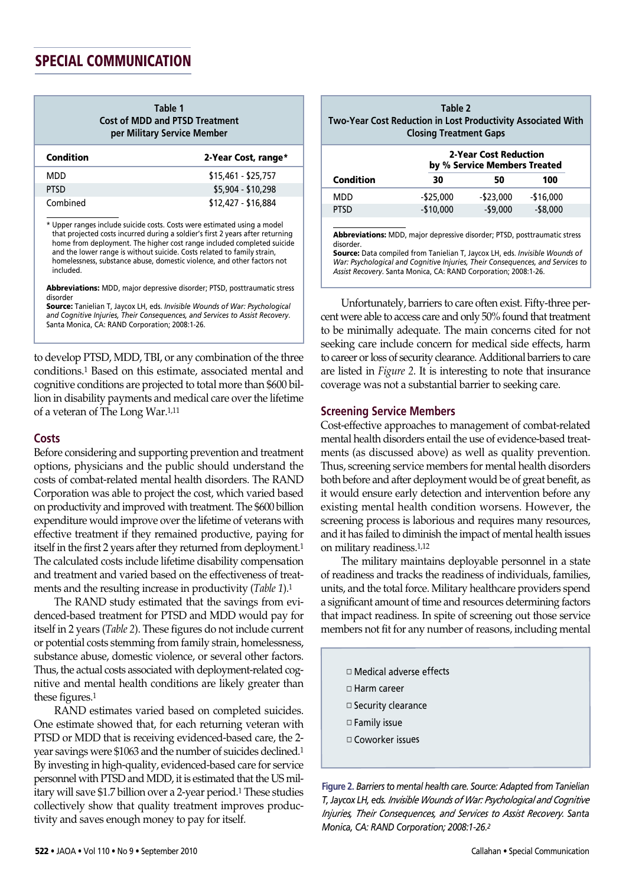| Table 1                               |
|---------------------------------------|
| <b>Cost of MDD and PTSD Treatment</b> |
| per Military Service Member           |

| Condition   | 2-Year Cost, range* |
|-------------|---------------------|
| MDD         | $$15,461 - $25,757$ |
| <b>PTSD</b> | \$5,904 - \$10,298  |
| Combined    | \$12,427 - \$16,884 |

\* Upper ranges include suicide costs. Costs were estimated using a model that projected costs incurred during a soldier's first 2 years after returning home from deployment. The higher cost range included completed suicide and the lower range is without suicide. Costs related to family strain, homelessness, substance abuse, domestic violence, and other factors not included.

**Abbreviations:** MDD, major depressive disorder; PTSD, posttraumatic stress disorder

**Source:** Tanielian T, Jaycox LH, eds. *Invisible Wounds of War: Psychological and Cognitive Injuries, Their Consequences, and Services to Assist Recovery*. Santa Monica, CA: RAND Corporation; 2008:1-26.

to develop PTSD, MDD, TBI, or any combination of the three conditions.1 Based on this estimate, associated mental and cognitive conditions are projected to total more than \$600 billion in disability payments and medical care over the lifetime of a veteran of The Long War.1,11

### **Costs**

Before considering and supporting prevention and treatment options, physicians and the public should understand the costs of combat-related mental health disorders. The RAND Corporation was able to project the cost, which varied based on productivity and improved with treatment. The \$600 billion expenditure would improve over the lifetime of veterans with effective treatment if they remained productive, paying for itself in the first 2 years after they returned from deployment.<sup>1</sup> The calculated costs include lifetime disability compensation and treatment and varied based on the effectiveness of treatments and the resulting increase in productivity (*Table 1*).1

The RAND study estimated that the savings from evidenced-based treatment for PTSD and MDD would pay for itself in 2 years (*Table 2*). These figures do not include current or potential costs stemming from family strain, homelessness, substance abuse, domestic violence, or several other factors. Thus, the actual costs associated with deployment-related cognitive and mental health conditions are likely greater than these figures.1

RAND estimates varied based on completed suicides. One estimate showed that, for each returning veteran with PTSD or MDD that is receiving evidenced-based care, the 2 year savings were \$1063 and the number of suicides declined.1 By investing in high-quality, evidenced-based care for service personnel with PTSD and MDD, it is estimated that the US military will save \$1.7 billion over a 2-year period.1 These studies collectively show that quality treatment improves productivity and saves enough money to pay for itself.

| Table 2                                                      |
|--------------------------------------------------------------|
| Two-Year Cost Reduction in Lost Productivity Associated With |
| <b>Closing Treatment Gaps</b>                                |

| 2-Year Cost Reduction<br>by % Service Members Treated |              |            |  |
|-------------------------------------------------------|--------------|------------|--|
| 30                                                    | 50           | 100        |  |
| $-$ \$25,000                                          | $-$ \$23,000 | $-$16,000$ |  |
| $-$10,000$                                            | $-$9,000$    | $-$8,000$  |  |
|                                                       |              |            |  |

**Abbreviations:** MDD, major depressive disorder; PTSD, posttraumatic stress disorder.

**Source:** Data compiled from Tanielian T, Jaycox LH, eds. *Invisible Wounds of War: Psychological and Cognitive Injuries, Their Consequences, and Services to Assist Recovery*. Santa Monica, CA: RAND Corporation; 2008:1-26.

Unfortunately, barriers to care often exist. Fifty-three percent were able to access care and only 50% found that treatment to be minimally adequate. The main concerns cited for not seeking care include concern for medical side effects, harm to career or loss of security clearance. Additional barriers to care are listed in *Figure 2*. It is interesting to note that insurance coverage was not a substantial barrier to seeking care.

#### **Screening Service Members**

Cost-effective approaches to management of combat-related mental health disorders entail the use of evidence-based treatments (as discussed above) as well as quality prevention. Thus, screening service members for mental health disorders both before and after deployment would be of great benefit, as it would ensure early detection and intervention before any existing mental health condition worsens. However, the screening process is laborious and requires many resources, and it has failed to diminish the impact of mental health issues on military readiness.1,12

The military maintains deployable personnel in a state of readiness and tracks the readiness of individuals, families, units, and the total force. Military healthcare providers spend a significant amount of time and resources determining factors that impact readiness. In spite of screening out those service members not fit for any number of reasons, including mental

- ◽ Medical adverse effects ◽ Harm career
- ◽ Security clearance
- ◽ Family issue
- ◽ Coworker issues

**Figure 2.** *Barriersto mental health care. Source: Adapted from Tanielian T, Jaycox LH, eds. Invisible Wounds of War: Psychological and Cognitive Injuries, Their Consequences, and Services to Assist Recovery. Santa Monica, CA: RAND Corporation; 2008:1-26.2*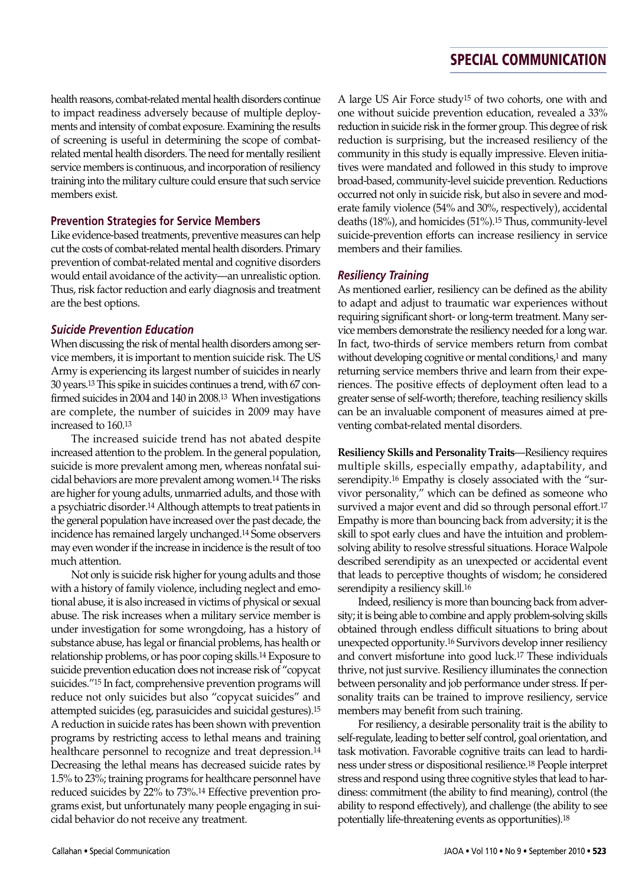health reasons, combat-related mental health disorders continue to impact readiness adversely because of multiple deployments and intensity of combat exposure. Examining the results of screening is useful in determining the scope of combatrelated mental health disorders. The need for mentally resilient service members is continuous, and incorporation of resiliency training into the military culture could ensure that such service members exist.

## **Prevention Strategies for Service Members**

Like evidence-based treatments, preventive measures can help cut the costs of combat-related mental health disorders. Primary prevention of combat-related mental and cognitive disorders would entail avoidance of the activity—an unrealistic option. Thus, risk factor reduction and early diagnosis and treatment are the best options.

## *Suicide Prevention Education*

When discussing the risk of mental health disorders among service members, it is important to mention suicide risk. The US Army is experiencing its largest number of suicides in nearly 30 years.13 This spike in suicides continues a trend, with 67 confirmed suicides in 2004 and 140 in 2008.13 When investigations are complete, the number of suicides in 2009 may have increased to 160.13

The increased suicide trend has not abated despite increased attention to the problem. In the general population, suicide is more prevalent among men, whereas nonfatal suicidal behaviors are more prevalent among women.14 The risks are higher for young adults, unmarried adults, and those with a psychiatric disorder.14 Although attempts to treat patients in the general population have increased over the past decade, the incidence has remained largely unchanged.14 Some observers may even wonder if the increase in incidence is the result of too much attention.

Not only is suicide risk higher for young adults and those with a history of family violence, including neglect and emotional abuse, it is also increased in victims of physical or sexual abuse. The risk increases when a military service member is under investigation for some wrongdoing, has a history of substance abuse, has legal or financial problems, has health or relationship problems, or has poor coping skills.14 Exposure to suicide prevention education does not increase risk of "copycat suicides."15 In fact, comprehensive prevention programs will reduce not only suicides but also "copycat suicides" and attempted suicides (eg, parasuicides and suicidal gestures).15 A reduction in suicide rates has been shown with prevention programs by restricting access to lethal means and training healthcare personnel to recognize and treat depression.<sup>14</sup> Decreasing the lethal means has decreased suicide rates by 1.5% to 23%; training programs for healthcare personnel have reduced suicides by 22% to 73%.14 Effective prevention programs exist, but unfortunately many people engaging in suicidal behavior do not receive any treatment.

A large US Air Force study15 of two cohorts, one with and one without suicide prevention education, revealed a 33% reduction in suicide risk in the former group. This degree of risk reduction is surprising, but the increased resiliency of the community in this study is equally impressive. Eleven initiatives were mandated and followed in this study to improve broad-based, community-level suicide prevention. Reductions occurred not only in suicide risk, but also in severe and moderate family violence (54% and 30%, respectively), accidental deaths (18%), and homicides (51%).15 Thus, community-level suicide-prevention efforts can increase resiliency in service members and their families.

## *Resiliency Training*

As mentioned earlier, resiliency can be defined as the ability to adapt and adjust to traumatic war experiences without requiring significant short- or long-term treatment. Many service members demonstrate the resiliency needed for a long war. In fact, two-thirds of service members return from combat without developing cognitive or mental conditions,<sup>1</sup> and many returning service members thrive and learn from their experiences. The positive effects of deployment often lead to a greater sense of self-worth; therefore, teaching resiliency skills can be an invaluable component of measures aimed at preventing combat-related mental disorders.

**Resiliency Skills and Personality Traits**—Resiliency requires multiple skills, especially empathy, adaptability, and serendipity.16 Empathy is closely associated with the "survivor personality," which can be defined as someone who survived a major event and did so through personal effort.17 Empathy is more than bouncing back from adversity; it is the skill to spot early clues and have the intuition and problemsolving ability to resolve stressful situations. Horace Walpole described serendipity as an unexpected or accidental event that leads to perceptive thoughts of wisdom; he considered serendipity a resiliency skill.16

Indeed, resiliency is more than bouncing back from adversity; it is being able to combine and apply problem-solving skills obtained through endless difficult situations to bring about unexpected opportunity.<sup>16</sup> Survivors develop inner resiliency and convert misfortune into good luck.17 These individuals thrive, not just survive. Resiliency illuminates the connection between personality and job performance under stress. If personality traits can be trained to improve resiliency, service members may benefit from such training.

For resiliency, a desirable personality trait is the ability to self-regulate, leading to better self control, goal orientation, and task motivation. Favorable cognitive traits can lead to hardiness under stress or dispositional resilience.18 People interpret stress and respond using three cognitive styles that lead to hardiness: commitment (the ability to find meaning), control (the ability to respond effectively), and challenge (the ability to see potentially life-threatening events as opportunities).18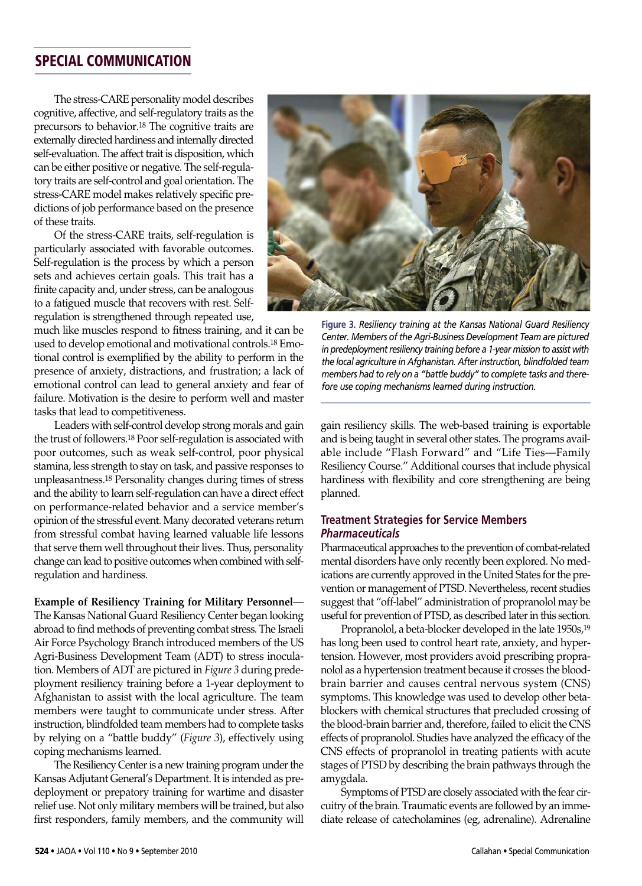The stress-CARE personality model describes cognitive, affective, and self-regulatory traits as the precursors to behavior.18 The cognitive traits are externally directed hardiness and internally directed self-evaluation. The affect trait is disposition, which can be either positive or negative. The self-regulatory traits are self-control and goal orientation. The stress-CARE model makes relatively specific predictions of job performance based on the presence of these traits.

Of the stress-CARE traits, self-regulation is particularly associated with favorable outcomes. Self-regulation is the process by which a person sets and achieves certain goals. This trait has a finite capacity and, under stress, can be analogous to a fatigued muscle that recovers with rest. Selfregulation is strengthened through repeated use,

much like muscles respond to fitness training, and it can be used to develop emotional and motivational controls.18 Emotional control is exemplified by the ability to perform in the presence of anxiety, distractions, and frustration; a lack of emotional control can lead to general anxiety and fear of failure. Motivation is the desire to perform well and master tasks that lead to competitiveness.

Leaders with self-control develop strong morals and gain the trust of followers.18 Poor self-regulation is associated with poor outcomes, such as weak self-control, poor physical stamina, less strength to stay on task, and passive responses to unpleasantness.18 Personality changes during times of stress and the ability to learn self-regulation can have a direct effect on performance-related behavior and a service member's opinion of the stressful event. Many decorated veterans return from stressful combat having learned valuable life lessons that serve them well throughout their lives. Thus, personality change can lead to positive outcomes when combined with selfregulation and hardiness.

**Example of Resiliency Training for Military Personnel**— The Kansas National Guard Resiliency Center began looking abroad to find methods of preventing combat stress. The Israeli Air Force Psychology Branch introduced members of the US Agri-Business Development Team (ADT) to stress inoculation. Members of ADT are pictured in *Figure 3* during predeployment resiliency training before a 1-year deployment to Afghanistan to assist with the local agriculture. The team members were taught to communicate under stress. After instruction, blindfolded team members had to complete tasks by relying on a "battle buddy" (*Figure 3*), effectively using coping mechanisms learned.

The Resiliency Center is a new training program under the Kansas Adjutant General's Department. It is intended as predeployment or prepatory training for wartime and disaster relief use. Not only military members will be trained, but also first responders, family members, and the community will



**Figure 3.** *Resiliency training at the Kansas National Guard Resiliency Center. Members of the Agri-Business Development Team are pictured in* predeployment resiliency *training* before *a* 1-year mission to assist with *the local agriculture in Afghanistan. After instruction, blindfolded team members had to rely on a "battle buddy" to complete tasks and therefore use coping mechanisms learned during instruction.*

gain resiliency skills. The web-based training is exportable and is being taught in several other states. The programs available include "Flash Forward" and "Life Ties—Family Resiliency Course." Additional courses that include physical hardiness with flexibility and core strengthening are being planned.

## **Treatment Strategies for Service Members** *Pharmaceuticals*

Pharmaceutical approaches to the prevention of combat-related mental disorders have only recently been explored. No medications are currently approved in the United States for the prevention or management of PTSD. Nevertheless, recent studies suggest that "off-label" administration of propranolol may be useful for prevention of PTSD, as described later in this section.

Propranolol, a beta-blocker developed in the late 1950s,<sup>19</sup> has long been used to control heart rate, anxiety, and hypertension. However, most providers avoid prescribing propranolol as a hypertension treatment because it crosses the bloodbrain barrier and causes central nervous system (CNS) symptoms. This knowledge was used to develop other betablockers with chemical structures that precluded crossing of the blood-brain barrier and, therefore, failed to elicit the CNS effects of propranolol. Studies have analyzed the efficacy of the CNS effects of propranolol in treating patients with acute stages of PTSD by describing the brain pathways through the amygdala.

Symptoms of PTSD are closely associated with the fear circuitry of the brain. Traumatic events are followed by an immediate release of catecholamines (eg, adrenaline). Adrenaline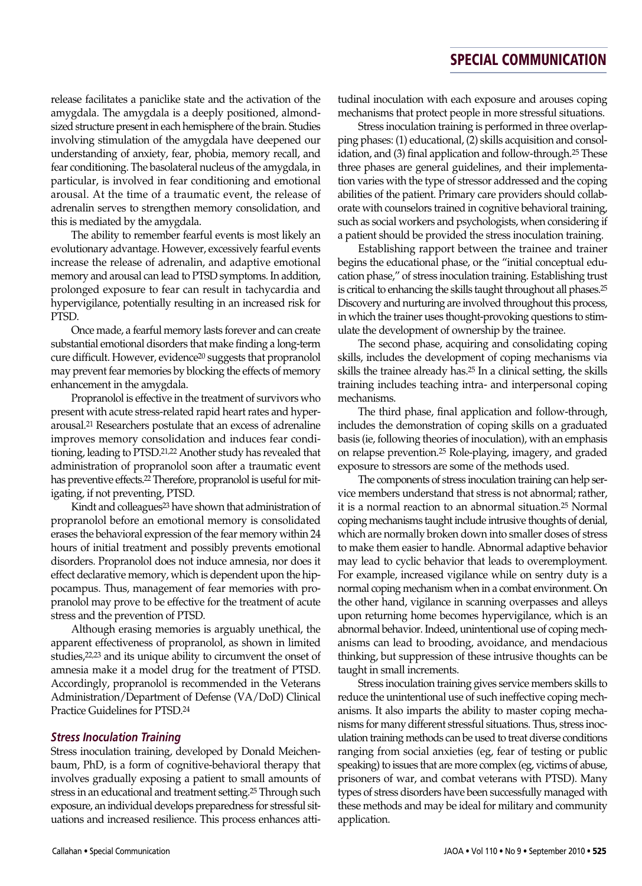release facilitates a paniclike state and the activation of the amygdala. The amygdala is a deeply positioned, almondsized structure present in each hemisphere of the brain. Studies involving stimulation of the amygdala have deepened our understanding of anxiety, fear, phobia, memory recall, and fear conditioning. The basolateral nucleus of the amygdala, in particular, is involved in fear conditioning and emotional arousal. At the time of a traumatic event, the release of adrenalin serves to strengthen memory consolidation, and this is mediated by the amygdala.

The ability to remember fearful events is most likely an evolutionary advantage. However, excessively fearful events increase the release of adrenalin, and adaptive emotional memory and arousal can lead to PTSD symptoms. In addition, prolonged exposure to fear can result in tachycardia and hypervigilance, potentially resulting in an increased risk for PTSD.

Once made, a fearful memory lasts forever and can create substantial emotional disorders that make finding a long-term cure difficult. However, evidence20 suggests that propranolol may prevent fear memories by blocking the effects of memory enhancement in the amygdala.

Propranolol is effective in the treatment of survivors who present with acute stress-related rapid heart rates and hyperarousal.21 Researchers postulate that an excess of adrenaline improves memory consolidation and induces fear conditioning, leading to PTSD.21,22 Another study has revealed that administration of propranolol soon after a traumatic event has preventive effects.<sup>22</sup> Therefore, propranolol is useful for mitigating, if not preventing, PTSD.

Kindt and colleagues<sup>23</sup> have shown that administration of propranolol before an emotional memory is consolidated erases the behavioral expression of the fear memory within 24 hours of initial treatment and possibly prevents emotional disorders. Propranolol does not induce amnesia, nor does it effect declarative memory, which is dependent upon the hippocampus. Thus, management of fear memories with propranolol may prove to be effective for the treatment of acute stress and the prevention of PTSD.

Although erasing memories is arguably unethical, the apparent effectiveness of propranolol, as shown in limited studies,22,23 and its unique ability to circumvent the onset of amnesia make it a model drug for the treatment of PTSD. Accordingly, propranolol is recommended in the Veterans Administration/Department of Defense (VA/DoD) Clinical Practice Guidelines for PTSD.24

#### *Stress Inoculation Training*

Stress inoculation training, developed by Donald Meichenbaum, PhD, is a form of cognitive-behavioral therapy that involves gradually exposing a patient to small amounts of stress in an educational and treatment setting.25 Through such exposure, an individual develops preparedness for stressful situations and increased resilience. This process enhances attitudinal inoculation with each exposure and arouses coping mechanisms that protect people in more stressful situations.

Stress inoculation training is performed in three overlapping phases: (1) educational, (2) skills acquisition and consolidation, and (3) final application and follow-through.25 These three phases are general guidelines, and their implementation varies with the type of stressor addressed and the coping abilities of the patient. Primary care providers should collaborate with counselors trained in cognitive behavioral training, such as social workers and psychologists, when considering if a patient should be provided the stress inoculation training.

Establishing rapport between the trainee and trainer begins the educational phase, or the "initial conceptual education phase," of stress inoculation training. Establishing trust is critical to enhancing the skills taught throughout all phases.25 Discovery and nurturing are involved throughout this process, in which the trainer uses thought-provoking questions to stimulate the development of ownership by the trainee.

The second phase, acquiring and consolidating coping skills, includes the development of coping mechanisms via skills the trainee already has.25 In a clinical setting, the skills training includes teaching intra- and interpersonal coping mechanisms.

The third phase, final application and follow-through, includes the demonstration of coping skills on a graduated basis (ie, following theories of inoculation), with an emphasis on relapse prevention.25 Role-playing, imagery, and graded exposure to stressors are some of the methods used.

The components of stress inoculation training can help service members understand that stress is not abnormal; rather, it is a normal reaction to an abnormal situation.25 Normal coping mechanisms taught include intrusive thoughts of denial, which are normally broken down into smaller doses of stress to make them easier to handle. Abnormal adaptive behavior may lead to cyclic behavior that leads to overemployment. For example, increased vigilance while on sentry duty is a normal coping mechanism when in a combat environment. On the other hand, vigilance in scanning overpasses and alleys upon returning home becomes hypervigilance, which is an abnormal behavior. Indeed, unintentional use of coping mechanisms can lead to brooding, avoidance, and mendacious thinking, but suppression of these intrusive thoughts can be taught in small increments.

Stress inoculation training gives service members skills to reduce the unintentional use of such ineffective coping mechanisms. It also imparts the ability to master coping mechanisms for many different stressful situations. Thus, stress inoculation training methods can be used to treat diverse conditions ranging from social anxieties (eg, fear of testing or public speaking) to issues that are more complex (eg, victims of abuse, prisoners of war, and combat veterans with PTSD). Many types of stress disorders have been successfully managed with these methods and may be ideal for military and community application.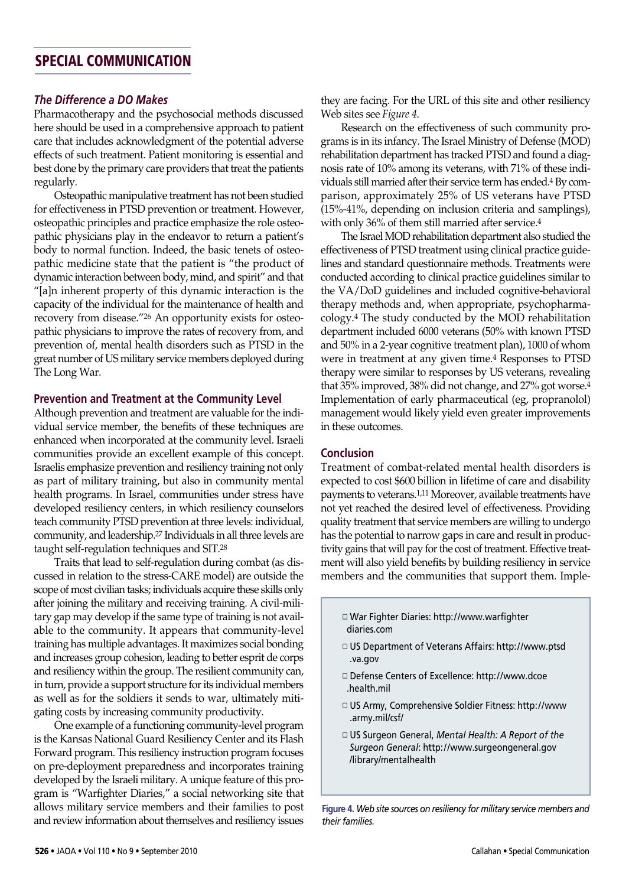### *The Difference a DO Makes*

Pharmacotherapy and the psychosocial methods discussed here should be used in a comprehensive approach to patient care that includes acknowledgment of the potential adverse effects of such treatment. Patient monitoring is essential and best done by the primary care providers that treat the patients regularly.

Osteopathic manipulative treatment has not been studied for effectiveness in PTSD prevention or treatment. However, osteopathic principles and practice emphasize the role osteopathic physicians play in the endeavor to return a patient's body to normal function. Indeed, the basic tenets of osteopathic medicine state that the patient is "the product of dynamic interaction between body, mind, and spirit" and that "[a]n inherent property of this dynamic interaction is the capacity of the individual for the maintenance of health and recovery from disease."26 An opportunity exists for osteopathic physicians to improve the rates of recovery from, and prevention of, mental health disorders such as PTSD in the great number of US military service members deployed during The Long War.

### **Prevention and Treatment at the Community Level**

Although prevention and treatment are valuable for the individual service member, the benefits of these techniques are enhanced when incorporated at the community level. Israeli communities provide an excellent example of this concept. Israelis emphasize prevention and resiliency training not only as part of military training, but also in community mental health programs. In Israel, communities under stress have developed resiliency centers, in which resiliency counselors teach community PTSD prevention at three levels: individual, community, and leadership.27 Individuals in all three levels are taught self-regulation techniques and SIT.28

Traits that lead to self-regulation during combat (as discussed in relation to the stress-CARE model) are outside the scope of most civilian tasks; individuals acquire these skills only after joining the military and receiving training. A civil-military gap may develop if the same type of training is not available to the community. It appears that community-level training has multiple advantages. It maximizes social bonding and increases group cohesion, leading to better esprit de corps and resiliency within the group. The resilient community can, in turn, provide a support structure for its individual members as well as for the soldiers it sends to war, ultimately mitigating costs by increasing community productivity.

One example of a functioning community-level program is the Kansas National Guard Resiliency Center and its Flash Forward program. This resiliency instruction program focuses on pre-deployment preparedness and incorporates training developed by the Israeli military. A unique feature of this program is "Warfighter Diaries," a social networking site that allows military service members and their families to post and review information about themselves and resiliency issues

they are facing. For the URL of this site and other resiliency Web sites see *Figure 4*.

Research on the effectiveness of such community programs is in its infancy. The Israel Ministry of Defense (MOD) rehabilitation department has tracked PTSD and found a diagnosis rate of 10% among its veterans, with 71% of these individuals still married after their service term has ended.4 By comparison, approximately 25% of US veterans have PTSD (15%-41%, depending on inclusion criteria and samplings), with only 36% of them still married after service.4

The Israel MOD rehabilitation department also studied the effectiveness of PTSD treatment using clinical practice guidelines and standard questionnaire methods. Treatments were conducted according to clinical practice guidelines similar to the VA/DoD guidelines and included cognitive-behavioral therapy methods and, when appropriate, psychopharmacology.4 The study conducted by the MOD rehabilitation department included 6000 veterans (50% with known PTSD and 50% in a 2-year cognitive treatment plan), 1000 of whom were in treatment at any given time.4 Responses to PTSD therapy were similar to responses by US veterans, revealing that 35% improved, 38% did not change, and 27% got worse.4 Implementation of early pharmaceutical (eg, propranolol) management would likely yield even greater improvements in these outcomes.

### **Conclusion**

Treatment of combat-related mental health disorders is expected to cost \$600 billion in lifetime of care and disability payments to veterans.1,11 Moreover, available treatments have not yet reached the desired level of effectiveness. Providing quality treatment that service members are willing to undergo has the potential to narrow gaps in care and result in productivity gains that will pay for the cost of treatment. Effective treatment will also yield benefits by building resiliency in service members and the communities that support them. Imple-

- ◽ War Fighter Diaries: http://www.warfighter diaries.com
- ◽ US Department of Veterans Affairs: http://www.ptsd .va.gov
- ◽ Defense Centers of Excellence: http://www.dcoe .health.mil
- ◽ US Army, Comprehensive Soldier Fitness: http://www .army.mil/csf/
- ◽ US Surgeon General, *Mental Health: A Report of the Surgeon General*: http://www.surgeongeneral.gov /library/mentalhealth

**Figure 4.** *Web site sources on resiliency for military service members and their families.*